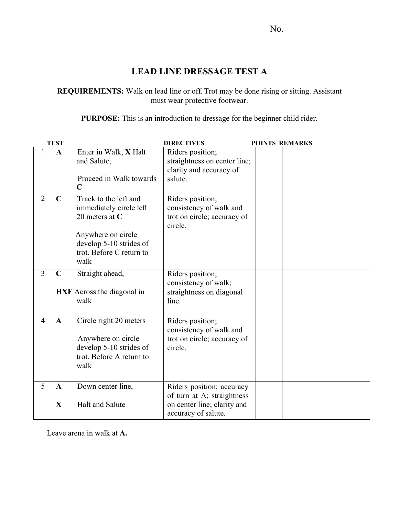## **LEAD LINE DRESSAGE TEST A**

**REQUIREMENTS:** Walk on lead line or off. Trot may be done rising or sitting. Assistant must wear protective footwear.

**PURPOSE:** This is an introduction to dressage for the beginner child rider.

| <b>TEST</b>    |                             |                                                                                                                                                           | <b>DIRECTIVES</b>                                                                                             | <b>POINTS REMARKS</b> |  |  |
|----------------|-----------------------------|-----------------------------------------------------------------------------------------------------------------------------------------------------------|---------------------------------------------------------------------------------------------------------------|-----------------------|--|--|
|                | $\mathbf{A}$                | Enter in Walk, X Halt<br>and Salute,<br>Proceed in Walk towards<br>$\mathbf C$                                                                            | Riders position;<br>straightness on center line;<br>clarity and accuracy of<br>salute.                        |                       |  |  |
| $\overline{2}$ | $\mathbf C$                 | Track to the left and<br>immediately circle left<br>20 meters at $C$<br>Anywhere on circle<br>develop 5-10 strides of<br>trot. Before C return to<br>walk | Riders position;<br>consistency of walk and<br>trot on circle; accuracy of<br>circle.                         |                       |  |  |
| $\overline{3}$ | $\mathbf C$                 | Straight ahead,<br>HXF Across the diagonal in<br>walk                                                                                                     | Riders position;<br>consistency of walk;<br>straightness on diagonal<br>line.                                 |                       |  |  |
| $\overline{4}$ | $\mathbf{A}$                | Circle right 20 meters<br>Anywhere on circle<br>develop 5-10 strides of<br>trot. Before A return to<br>walk                                               | Riders position;<br>consistency of walk and<br>trot on circle; accuracy of<br>circle.                         |                       |  |  |
| 5              | $\mathbf{A}$<br>$\mathbf X$ | Down center line,<br><b>Halt and Salute</b>                                                                                                               | Riders position; accuracy<br>of turn at A; straightness<br>on center line; clarity and<br>accuracy of salute. |                       |  |  |

Leave arena in walk at **A.**